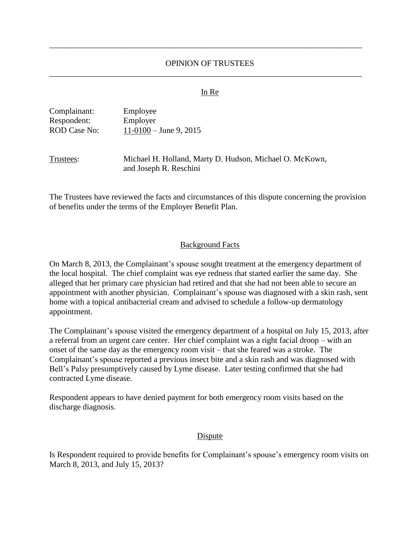# OPINION OF TRUSTEES \_\_\_\_\_\_\_\_\_\_\_\_\_\_\_\_\_\_\_\_\_\_\_\_\_\_\_\_\_\_\_\_\_\_\_\_\_\_\_\_\_\_\_\_\_\_\_\_\_\_\_\_\_\_\_\_\_\_\_\_\_\_\_\_\_\_\_\_\_\_\_\_\_\_\_\_

\_\_\_\_\_\_\_\_\_\_\_\_\_\_\_\_\_\_\_\_\_\_\_\_\_\_\_\_\_\_\_\_\_\_\_\_\_\_\_\_\_\_\_\_\_\_\_\_\_\_\_\_\_\_\_\_\_\_\_\_\_\_\_\_\_\_\_\_\_\_\_\_\_\_\_\_

#### In Re

| Complainant:        | Employee                 |
|---------------------|--------------------------|
| Respondent:         | Employer                 |
| <b>ROD Case No:</b> | $11-0100 -$ June 9, 2015 |

Trustees: Michael H. Holland, Marty D. Hudson, Michael O. McKown,

and Joseph R. Reschini

The Trustees have reviewed the facts and circumstances of this dispute concerning the provision of benefits under the terms of the Employer Benefit Plan.

## Background Facts

On March 8, 2013, the Complainant's spouse sought treatment at the emergency department of the local hospital. The chief complaint was eye redness that started earlier the same day. She alleged that her primary care physician had retired and that she had not been able to secure an appointment with another physician. Complainant's spouse was diagnosed with a skin rash, sent home with a topical antibacterial cream and advised to schedule a follow-up dermatology appointment.

The Complainant's spouse visited the emergency department of a hospital on July 15, 2013, after a referral from an urgent care center. Her chief complaint was a right facial droop – with an onset of the same day as the emergency room visit – that she feared was a stroke. The Complainant's spouse reported a previous insect bite and a skin rash and was diagnosed with Bell's Palsy presumptively caused by Lyme disease. Later testing confirmed that she had contracted Lyme disease.

Respondent appears to have denied payment for both emergency room visits based on the discharge diagnosis.

### **Dispute**

Is Respondent required to provide benefits for Complainant's spouse's emergency room visits on March 8, 2013, and July 15, 2013?